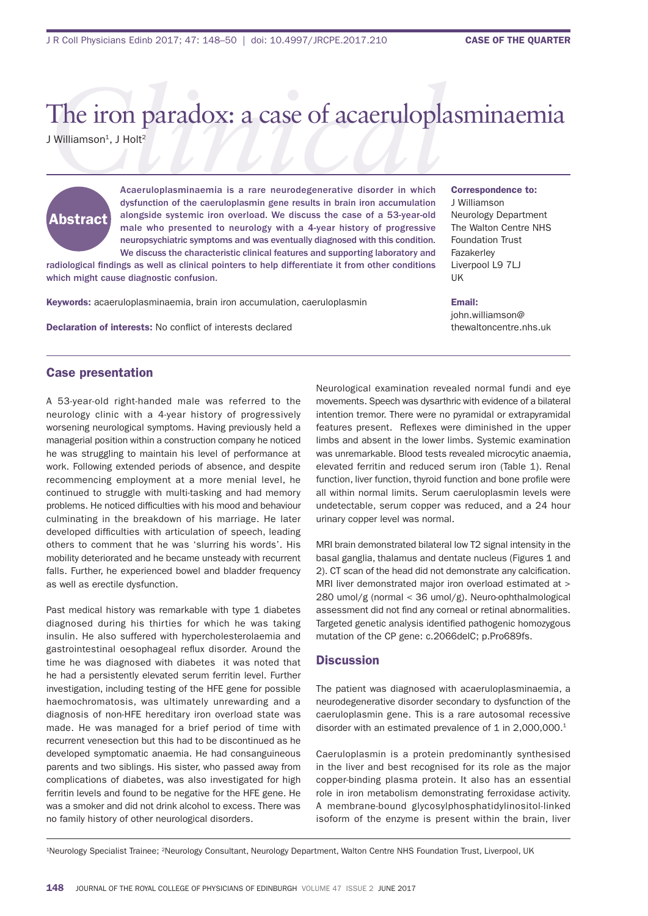# The iron paradox: a case of acaeruloplasminaemia

J Williamson<sup>1</sup>, J Holt<sup>2</sup>



Acaeruloplasminaemia is a rare neurodegenerative disorder in which dysfunction of the caeruloplasmin gene results in brain iron accumulation alongside systemic iron overload. We discuss the case of a 53-year-old male who presented to neurology with a 4-year history of progressive neuropsychiatric symptoms and was eventually diagnosed with this condition. We discuss the characteristic clinical features and supporting laboratory and

radiological findings as well as clinical pointers to help differentiate it from other conditions which might cause diagnostic confusion.

Keywords: acaeruloplasminaemia, brain iron accumulation, caeruloplasmin

Declaration of interests: No conflict of interests declared

# Correspondence to:

J Williamson Neurology Department The Walton Centre NHS **Foundation Trust** fazakerley Liverpool L9 7LJ uK

#### Email:

john.williamson@ thewaltoncentre.nhs.uk

### Case presentation

a 53-year-old right-handed male was referred to the neurology clinic with a 4-year history of progressively worsening neurological symptoms. Having previously held a managerial position within a construction company he noticed he was struggling to maintain his level of performance at work. following extended periods of absence, and despite recommencing employment at a more menial level, he continued to struggle with multi-tasking and had memory problems. He noticed difficulties with his mood and behaviour culminating in the breakdown of his marriage. he later developed difficulties with articulation of speech, leading others to comment that he was 'slurring his words'. his mobility deteriorated and he became unsteady with recurrent falls. further, he experienced bowel and bladder frequency as well as erectile dysfunction.

Past medical history was remarkable with type 1 diabetes diagnosed during his thirties for which he was taking insulin. he also suffered with hypercholesterolaemia and gastrointestinal oesophageal reflux disorder. Around the time he was diagnosed with diabetes it was noted that he had a persistently elevated serum ferritin level. further investigation, including testing of the HFE gene for possible haemochromatosis, was ultimately unrewarding and a diagnosis of non-hfe hereditary iron overload state was made. he was managed for a brief period of time with recurrent venesection but this had to be discontinued as he developed symptomatic anaemia. he had consanguineous parents and two siblings. his sister, who passed away from complications of diabetes, was also investigated for high ferritin levels and found to be negative for the HFE gene. He was a smoker and did not drink alcohol to excess. There was no family history of other neurological disorders.

neurological examination revealed normal fundi and eye movements. speech was dysarthric with evidence of a bilateral intention tremor. There were no pyramidal or extrapyramidal features present. Reflexes were diminished in the upper limbs and absent in the lower limbs. Systemic examination was unremarkable. Blood tests revealed microcytic anaemia, elevated ferritin and reduced serum iron (Table 1). Renal function, liver function, thyroid function and bone profile were all within normal limits. serum caeruloplasmin levels were undetectable, serum copper was reduced, and a 24 hour urinary copper level was normal.

MRI brain demonstrated bilateral low T2 signal intensity in the basal ganglia, thalamus and dentate nucleus (figures 1 and 2). CT scan of the head did not demonstrate any calcification. MRI liver demonstrated major iron overload estimated at > 280 umol/g (normal  $<$  36 umol/g). Neuro-ophthalmological assessment did not find any corneal or retinal abnormalities. Targeted genetic analysis identified pathogenic homozygous mutation of the CP gene: c.2066delC; p.Pro689fs.

# **Discussion**

The patient was diagnosed with acaeruloplasminaemia, a neurodegenerative disorder secondary to dysfunction of the caeruloplasmin gene. this is a rare autosomal recessive disorder with an estimated prevalence of 1 in  $2,000,000$ .<sup>1</sup>

Caeruloplasmin is a protein predominantly synthesised in the liver and best recognised for its role as the major copper-binding plasma protein. it also has an essential role in iron metabolism demonstrating ferroxidase activity. a membrane-bound glycosylphosphatidylinositol-linked isoform of the enzyme is present within the brain, liver

<sup>1</sup>Neurology Specialist Trainee; <sup>2</sup>Neurology Consultant, Neurology Department, Walton Centre NHS Foundation Trust, Liverpool, UK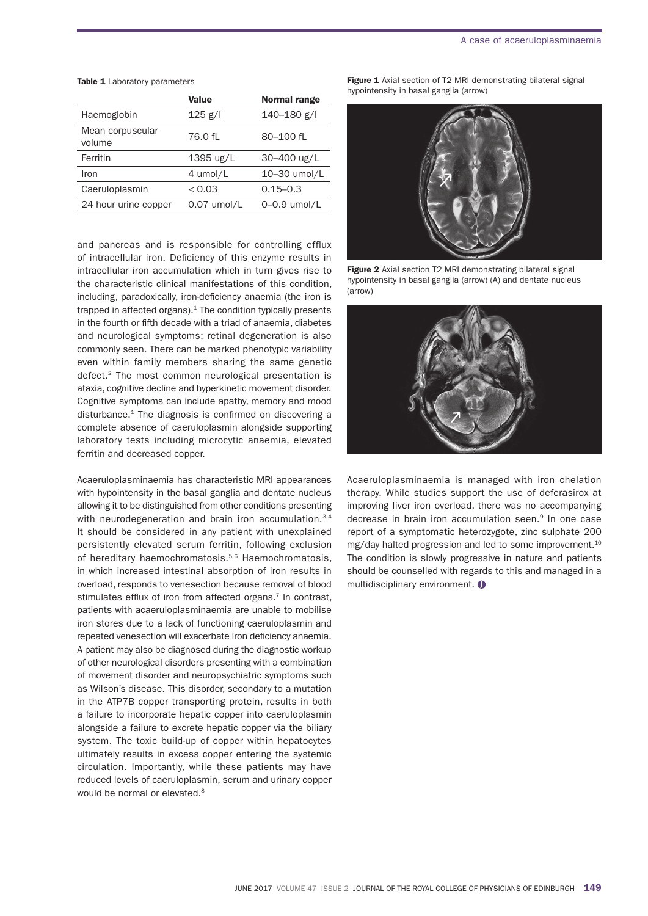|                            | <b>Value</b>  | Normal range   |
|----------------------------|---------------|----------------|
| Haemoglobin                | 125 g/l       | 140-180 g/l    |
| Mean corpuscular<br>volume | 76.0 fl       | 80-100 fL      |
| Ferritin                   | 1395 ug/L     | 30-400 ug/L    |
| Iron                       | 4 umol/L      | 10-30 umol/L   |
| Caeruloplasmin             | < 0.03        | $0.15 - 0.3$   |
| 24 hour urine copper       | $0.07$ umol/L | $0-0.9$ umol/L |

and pancreas and is responsible for controlling efflux of intracellular iron. Deficiency of this enzyme results in intracellular iron accumulation which in turn gives rise to the characteristic clinical manifestations of this condition, including, paradoxically, iron-deficiency anaemia (the iron is trapped in affected organs). $1$  The condition typically presents in the fourth or fifth decade with a triad of anaemia, diabetes and neurological symptoms; retinal degeneration is also commonly seen. There can be marked phenotypic variability even within family members sharing the same genetic defect.<sup>2</sup> The most common neurological presentation is ataxia, cognitive decline and hyperkinetic movement disorder. Cognitive symptoms can include apathy, memory and mood disturbance. $1$  The diagnosis is confirmed on discovering a complete absence of caeruloplasmin alongside supporting laboratory tests including microcytic anaemia, elevated ferritin and decreased copper.

Acaeruloplasminaemia has characteristic MRI appearances with hypointensity in the basal ganglia and dentate nucleus allowing it to be distinguished from other conditions presenting with neurodegeneration and brain iron accumulation.<sup>3,4</sup> It should be considered in any patient with unexplained persistently elevated serum ferritin, following exclusion of hereditary haemochromatosis.<sup>5,6</sup> Haemochromatosis, in which increased intestinal absorption of iron results in overload, responds to venesection because removal of blood stimulates efflux of iron from affected organs.<sup>7</sup> In contrast, patients with acaeruloplasminaemia are unable to mobilise iron stores due to a lack of functioning caeruloplasmin and repeated venesection will exacerbate iron deficiency anaemia. a patient may also be diagnosed during the diagnostic workup of other neurological disorders presenting with a combination of movement disorder and neuropsychiatric symptoms such as Wilson's disease. This disorder, secondary to a mutation in the ATP7B copper transporting protein, results in both a failure to incorporate hepatic copper into caeruloplasmin alongside a failure to excrete hepatic copper via the biliary system. The toxic build-up of copper within hepatocytes ultimately results in excess copper entering the systemic circulation. importantly, while these patients may have reduced levels of caeruloplasmin, serum and urinary copper would be normal or elevated.<sup>8</sup>

Figure 1 Axial section of T2 MRI demonstrating bilateral signal hypointensity in basal ganglia (arrow)



Figure 2 Axial section T2 MRI demonstrating bilateral signal hypointensity in basal ganglia (arrow) (A) and dentate nucleus (arrow)



acaeruloplasminaemia is managed with iron chelation therapy. While studies support the use of deferasirox at improving liver iron overload, there was no accompanying decrease in brain iron accumulation seen.<sup>9</sup> In one case report of a symptomatic heterozygote, zinc sulphate 200 mg/day halted progression and led to some improvement.<sup>10</sup> The condition is slowly progressive in nature and patients should be counselled with regards to this and managed in a multidisciplinary environment.  $\bullet$